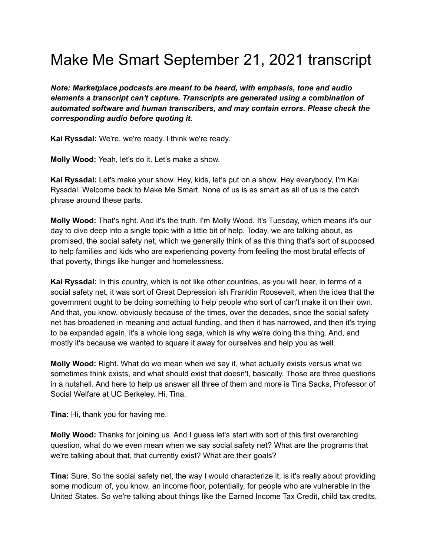## Make Me Smart September 21, 2021 transcript

*Note: Marketplace podcasts are meant to be heard, with emphasis, tone and audio elements a transcript can't capture. Transcripts are generated using a combination of automated software and human transcribers, and may contain errors. Please check the corresponding audio before quoting it.*

**Kai Ryssdal:** We're, we're ready. I think we're ready.

**Molly Wood:** Yeah, let's do it. Let's make a show.

**Kai Ryssdal:** Let's make your show. Hey, kids, let's put on a show. Hey everybody, I'm Kai Ryssdal. Welcome back to Make Me Smart. None of us is as smart as all of us is the catch phrase around these parts.

**Molly Wood:** That's right. And it's the truth. I'm Molly Wood. It's Tuesday, which means it's our day to dive deep into a single topic with a little bit of help. Today, we are talking about, as promised, the social safety net, which we generally think of as this thing that's sort of supposed to help families and kids who are experiencing poverty from feeling the most brutal effects of that poverty, things like hunger and homelessness.

**Kai Ryssdal:** In this country, which is not like other countries, as you will hear, in terms of a social safety net, it was sort of Great Depression ish Franklin Roosevelt, when the idea that the government ought to be doing something to help people who sort of can't make it on their own. And that, you know, obviously because of the times, over the decades, since the social safety net has broadened in meaning and actual funding, and then it has narrowed, and then it's trying to be expanded again, it's a whole long saga, which is why we're doing this thing. And, and mostly it's because we wanted to square it away for ourselves and help you as well.

**Molly Wood:** Right. What do we mean when we say it, what actually exists versus what we sometimes think exists, and what should exist that doesn't, basically. Those are three questions in a nutshell. And here to help us answer all three of them and more is Tina Sacks, Professor of Social Welfare at UC Berkeley. Hi, Tina.

**Tina:** Hi, thank you for having me.

**Molly Wood:** Thanks for joining us. And I guess let's start with sort of this first overarching question, what do we even mean when we say social safety net? What are the programs that we're talking about that, that currently exist? What are their goals?

**Tina:** Sure. So the social safety net, the way I would characterize it, is it's really about providing some modicum of, you know, an income floor, potentially, for people who are vulnerable in the United States. So we're talking about things like the Earned Income Tax Credit, child tax credits,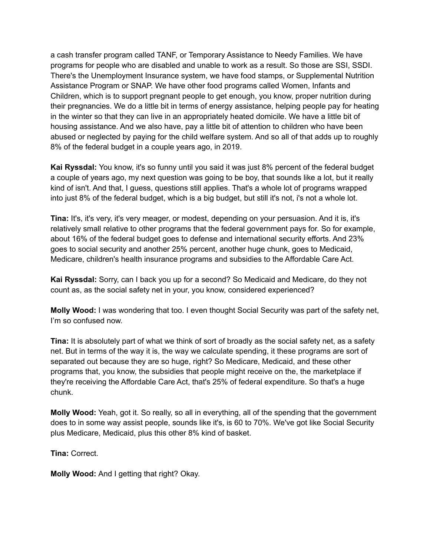a cash transfer program called TANF, or Temporary Assistance to Needy Families. We have programs for people who are disabled and unable to work as a result. So those are SSI, SSDI. There's the Unemployment Insurance system, we have food stamps, or Supplemental Nutrition Assistance Program or SNAP. We have other food programs called Women, Infants and Children, which is to support pregnant people to get enough, you know, proper nutrition during their pregnancies. We do a little bit in terms of energy assistance, helping people pay for heating in the winter so that they can live in an appropriately heated domicile. We have a little bit of housing assistance. And we also have, pay a little bit of attention to children who have been abused or neglected by paying for the child welfare system. And so all of that adds up to roughly 8% of the federal budget in a couple years ago, in 2019.

**Kai Ryssdal:** You know, it's so funny until you said it was just 8% percent of the federal budget a couple of years ago, my next question was going to be boy, that sounds like a lot, but it really kind of isn't. And that, I guess, questions still applies. That's a whole lot of programs wrapped into just 8% of the federal budget, which is a big budget, but still it's not, i's not a whole lot.

**Tina:** It's, it's very, it's very meager, or modest, depending on your persuasion. And it is, it's relatively small relative to other programs that the federal government pays for. So for example, about 16% of the federal budget goes to defense and international security efforts. And 23% goes to social security and another 25% percent, another huge chunk, goes to Medicaid, Medicare, children's health insurance programs and subsidies to the Affordable Care Act.

**Kai Ryssdal:** Sorry, can I back you up for a second? So Medicaid and Medicare, do they not count as, as the social safety net in your, you know, considered experienced?

**Molly Wood:** I was wondering that too. I even thought Social Security was part of the safety net, I'm so confused now.

**Tina:** It is absolutely part of what we think of sort of broadly as the social safety net, as a safety net. But in terms of the way it is, the way we calculate spending, it these programs are sort of separated out because they are so huge, right? So Medicare, Medicaid, and these other programs that, you know, the subsidies that people might receive on the, the marketplace if they're receiving the Affordable Care Act, that's 25% of federal expenditure. So that's a huge chunk.

**Molly Wood:** Yeah, got it. So really, so all in everything, all of the spending that the government does to in some way assist people, sounds like it's, is 60 to 70%. We've got like Social Security plus Medicare, Medicaid, plus this other 8% kind of basket.

**Tina:** Correct.

**Molly Wood:** And I getting that right? Okay.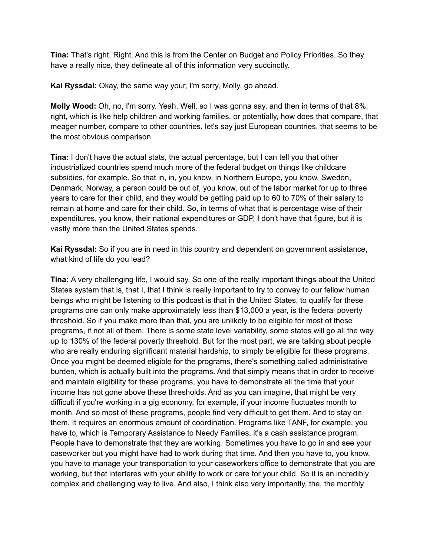**Tina:** That's right. Right. And this is from the Center on Budget and Policy Priorities. So they have a really nice, they delineate all of this information very succinctly.

**Kai Ryssdal:** Okay, the same way your, I'm sorry, Molly, go ahead.

**Molly Wood:** Oh, no, I'm sorry. Yeah. Well, so I was gonna say, and then in terms of that 8%, right, which is like help children and working families, or potentially, how does that compare, that meager number, compare to other countries, let's say just European countries, that seems to be the most obvious comparison.

**Tina:** I don't have the actual stats, the actual percentage, but I can tell you that other industrialized countries spend much more of the federal budget on things like childcare subsidies, for example. So that in, in, you know, in Northern Europe, you know, Sweden, Denmark, Norway, a person could be out of, you know, out of the labor market for up to three years to care for their child, and they would be getting paid up to 60 to 70% of their salary to remain at home and care for their child. So, in terms of what that is percentage wise of their expenditures, you know, their national expenditures or GDP, I don't have that figure, but it is vastly more than the United States spends.

**Kai Ryssdal:** So if you are in need in this country and dependent on government assistance, what kind of life do you lead?

**Tina:** A very challenging life, I would say. So one of the really important things about the United States system that is, that I, that I think is really important to try to convey to our fellow human beings who might be listening to this podcast is that in the United States, to qualify for these programs one can only make approximately less than \$13,000 a year, is the federal poverty threshold. So if you make more than that, you are unlikely to be eligible for most of these programs, if not all of them. There is some state level variability, some states will go all the way up to 130% of the federal poverty threshold. But for the most part, we are talking about people who are really enduring significant material hardship, to simply be eligible for these programs. Once you might be deemed eligible for the programs, there's something called administrative burden, which is actually built into the programs. And that simply means that in order to receive and maintain eligibility for these programs, you have to demonstrate all the time that your income has not gone above these thresholds. And as you can imagine, that might be very difficult if you're working in a gig economy, for example, if your income fluctuates month to month. And so most of these programs, people find very difficult to get them. And to stay on them. It requires an enormous amount of coordination. Programs like TANF, for example, you have to, which is Temporary Assistance to Needy Families, it's a cash assistance program. People have to demonstrate that they are working. Sometimes you have to go in and see your caseworker but you might have had to work during that time. And then you have to, you know, you have to manage your transportation to your caseworkers office to demonstrate that you are working, but that interferes with your ability to work or care for your child. So it is an incredibly complex and challenging way to live. And also, I think also very importantly, the, the monthly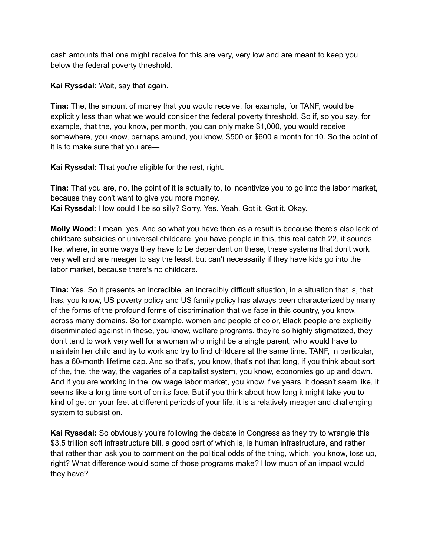cash amounts that one might receive for this are very, very low and are meant to keep you below the federal poverty threshold.

**Kai Ryssdal:** Wait, say that again.

**Tina:** The, the amount of money that you would receive, for example, for TANF, would be explicitly less than what we would consider the federal poverty threshold. So if, so you say, for example, that the, you know, per month, you can only make \$1,000, you would receive somewhere, you know, perhaps around, you know, \$500 or \$600 a month for 10. So the point of it is to make sure that you are—

**Kai Ryssdal:** That you're eligible for the rest, right.

**Tina:** That you are, no, the point of it is actually to, to incentivize you to go into the labor market, because they don't want to give you more money. **Kai Ryssdal:** How could I be so silly? Sorry. Yes. Yeah. Got it. Got it. Okay.

**Molly Wood:** I mean, yes. And so what you have then as a result is because there's also lack of childcare subsidies or universal childcare, you have people in this, this real catch 22, it sounds like, where, in some ways they have to be dependent on these, these systems that don't work very well and are meager to say the least, but can't necessarily if they have kids go into the labor market, because there's no childcare.

**Tina:** Yes. So it presents an incredible, an incredibly difficult situation, in a situation that is, that has, you know, US poverty policy and US family policy has always been characterized by many of the forms of the profound forms of discrimination that we face in this country, you know, across many domains. So for example, women and people of color, Black people are explicitly discriminated against in these, you know, welfare programs, they're so highly stigmatized, they don't tend to work very well for a woman who might be a single parent, who would have to maintain her child and try to work and try to find childcare at the same time. TANF, in particular, has a 60-month lifetime cap. And so that's, you know, that's not that long, if you think about sort of the, the, the way, the vagaries of a capitalist system, you know, economies go up and down. And if you are working in the low wage labor market, you know, five years, it doesn't seem like, it seems like a long time sort of on its face. But if you think about how long it might take you to kind of get on your feet at different periods of your life, it is a relatively meager and challenging system to subsist on.

**Kai Ryssdal:** So obviously you're following the debate in Congress as they try to wrangle this \$3.5 trillion soft infrastructure bill, a good part of which is, is human infrastructure, and rather that rather than ask you to comment on the political odds of the thing, which, you know, toss up, right? What difference would some of those programs make? How much of an impact would they have?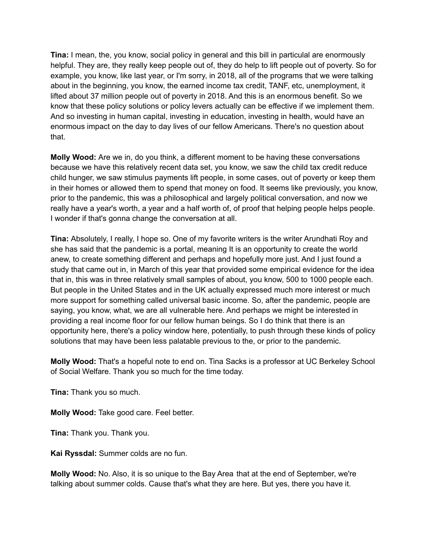**Tina:** I mean, the, you know, social policy in general and this bill in particulal are enormously helpful. They are, they really keep people out of, they do help to lift people out of poverty. So for example, you know, like last year, or I'm sorry, in 2018, all of the programs that we were talking about in the beginning, you know, the earned income tax credit, TANF, etc, unemployment, it lifted about 37 million people out of poverty in 2018. And this is an enormous benefit. So we know that these policy solutions or policy levers actually can be effective if we implement them. And so investing in human capital, investing in education, investing in health, would have an enormous impact on the day to day lives of our fellow Americans. There's no question about that.

**Molly Wood:** Are we in, do you think, a different moment to be having these conversations because we have this relatively recent data set, you know, we saw the child tax credit reduce child hunger, we saw stimulus payments lift people, in some cases, out of poverty or keep them in their homes or allowed them to spend that money on food. It seems like previously, you know, prior to the pandemic, this was a philosophical and largely political conversation, and now we really have a year's worth, a year and a half worth of, of proof that helping people helps people. I wonder if that's gonna change the conversation at all.

**Tina:** Absolutely, I really, I hope so. One of my favorite writers is the writer Arundhati Roy and she has said that the pandemic is a portal, meaning It is an opportunity to create the world anew, to create something different and perhaps and hopefully more just. And I just found a study that came out in, in March of this year that provided some empirical evidence for the idea that in, this was in three relatively small samples of about, you know, 500 to 1000 people each. But people in the United States and in the UK actually expressed much more interest or much more support for something called universal basic income. So, after the pandemic, people are saying, you know, what, we are all vulnerable here. And perhaps we might be interested in providing a real income floor for our fellow human beings. So I do think that there is an opportunity here, there's a policy window here, potentially, to push through these kinds of policy solutions that may have been less palatable previous to the, or prior to the pandemic.

**Molly Wood:** That's a hopeful note to end on. Tina Sacks is a professor at UC Berkeley School of Social Welfare. Thank you so much for the time today.

**Tina:** Thank you so much.

**Molly Wood:** Take good care. Feel better.

**Tina:** Thank you. Thank you.

**Kai Ryssdal:** Summer colds are no fun.

**Molly Wood:** No. Also, it is so unique to the Bay Area that at the end of September, we're talking about summer colds. Cause that's what they are here. But yes, there you have it.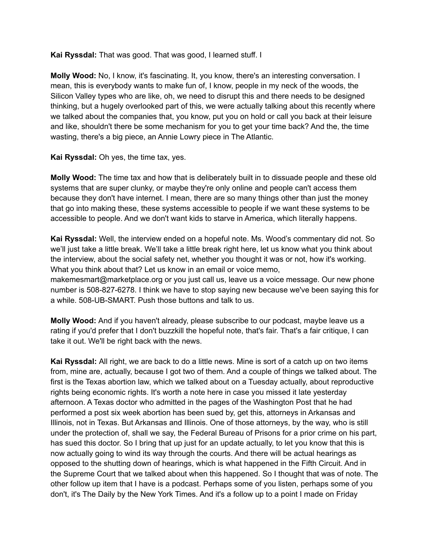**Kai Ryssdal:** That was good. That was good, I learned stuff. I

**Molly Wood:** No, I know, it's fascinating. It, you know, there's an interesting conversation. I mean, this is everybody wants to make fun of, I know, people in my neck of the woods, the Silicon Valley types who are like, oh, we need to disrupt this and there needs to be designed thinking, but a hugely overlooked part of this, we were actually talking about this recently where we talked about the companies that, you know, put you on hold or call you back at their leisure and like, shouldn't there be some mechanism for you to get your time back? And the, the time wasting, there's a big piece, an Annie Lowry piece in The Atlantic.

**Kai Ryssdal:** Oh yes, the time tax, yes.

**Molly Wood:** The time tax and how that is deliberately built in to dissuade people and these old systems that are super clunky, or maybe they're only online and people can't access them because they don't have internet. I mean, there are so many things other than just the money that go into making these, these systems accessible to people if we want these systems to be accessible to people. And we don't want kids to starve in America, which literally happens.

**Kai Ryssdal:** Well, the interview ended on a hopeful note. Ms. Wood's commentary did not. So we'll just take a little break. We'll take a little break right here, let us know what you think about the interview, about the social safety net, whether you thought it was or not, how it's working. What you think about that? Let us know in an email or voice memo, makemesmart@marketplace.org or you just call us, leave us a voice message. Our new phone number is 508-827-6278. I think we have to stop saying new because we've been saying this for a while. 508-UB-SMART. Push those buttons and talk to us.

**Molly Wood:** And if you haven't already, please subscribe to our podcast, maybe leave us a rating if you'd prefer that I don't buzzkill the hopeful note, that's fair. That's a fair critique, I can take it out. We'll be right back with the news.

**Kai Ryssdal:** All right, we are back to do a little news. Mine is sort of a catch up on two items from, mine are, actually, because I got two of them. And a couple of things we talked about. The first is the Texas abortion law, which we talked about on a Tuesday actually, about reproductive rights being economic rights. It's worth a note here in case you missed it late yesterday afternoon. A Texas doctor who admitted in the pages of the Washington Post that he had performed a post six week abortion has been sued by, get this, attorneys in Arkansas and Illinois, not in Texas. But Arkansas and Illinois. One of those attorneys, by the way, who is still under the protection of, shall we say, the Federal Bureau of Prisons for a prior crime on his part, has sued this doctor. So I bring that up just for an update actually, to let you know that this is now actually going to wind its way through the courts. And there will be actual hearings as opposed to the shutting down of hearings, which is what happened in the Fifth Circuit. And in the Supreme Court that we talked about when this happened. So I thought that was of note. The other follow up item that I have is a podcast. Perhaps some of you listen, perhaps some of you don't, it's The Daily by the New York Times. And it's a follow up to a point I made on Friday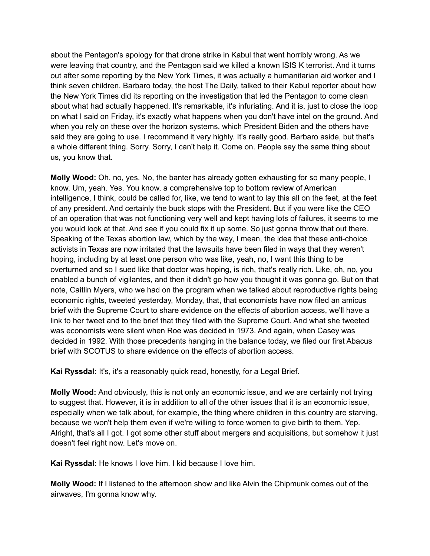about the Pentagon's apology for that drone strike in Kabul that went horribly wrong. As we were leaving that country, and the Pentagon said we killed a known ISIS K terrorist. And it turns out after some reporting by the New York Times, it was actually a humanitarian aid worker and I think seven children. Barbaro today, the host The Daily, talked to their Kabul reporter about how the New York Times did its reporting on the investigation that led the Pentagon to come clean about what had actually happened. It's remarkable, it's infuriating. And it is, just to close the loop on what I said on Friday, it's exactly what happens when you don't have intel on the ground. And when you rely on these over the horizon systems, which President Biden and the others have said they are going to use. I recommend it very highly. It's really good. Barbaro aside, but that's a whole different thing. Sorry. Sorry, I can't help it. Come on. People say the same thing about us, you know that.

**Molly Wood:** Oh, no, yes. No, the banter has already gotten exhausting for so many people, I know. Um, yeah. Yes. You know, a comprehensive top to bottom review of American intelligence, I think, could be called for, like, we tend to want to lay this all on the feet, at the feet of any president. And certainly the buck stops with the President. But if you were like the CEO of an operation that was not functioning very well and kept having lots of failures, it seems to me you would look at that. And see if you could fix it up some. So just gonna throw that out there. Speaking of the Texas abortion law, which by the way, I mean, the idea that these anti-choice activists in Texas are now irritated that the lawsuits have been filed in ways that they weren't hoping, including by at least one person who was like, yeah, no, I want this thing to be overturned and so I sued like that doctor was hoping, is rich, that's really rich. Like, oh, no, you enabled a bunch of vigilantes, and then it didn't go how you thought it was gonna go. But on that note, Caitlin Myers, who we had on the program when we talked about reproductive rights being economic rights, tweeted yesterday, Monday, that, that economists have now filed an amicus brief with the Supreme Court to share evidence on the effects of abortion access, we'll have a link to her tweet and to the brief that they filed with the Supreme Court. And what she tweeted was economists were silent when Roe was decided in 1973. And again, when Casey was decided in 1992. With those precedents hanging in the balance today, we filed our first Abacus brief with SCOTUS to share evidence on the effects of abortion access.

**Kai Ryssdal:** It's, it's a reasonably quick read, honestly, for a Legal Brief.

**Molly Wood:** And obviously, this is not only an economic issue, and we are certainly not trying to suggest that. However, it is in addition to all of the other issues that it is an economic issue, especially when we talk about, for example, the thing where children in this country are starving, because we won't help them even if we're willing to force women to give birth to them. Yep. Alright, that's all I got. I got some other stuff about mergers and acquisitions, but somehow it just doesn't feel right now. Let's move on.

**Kai Ryssdal:** He knows I love him. I kid because I love him.

**Molly Wood:** If I listened to the afternoon show and like Alvin the Chipmunk comes out of the airwaves, I'm gonna know why.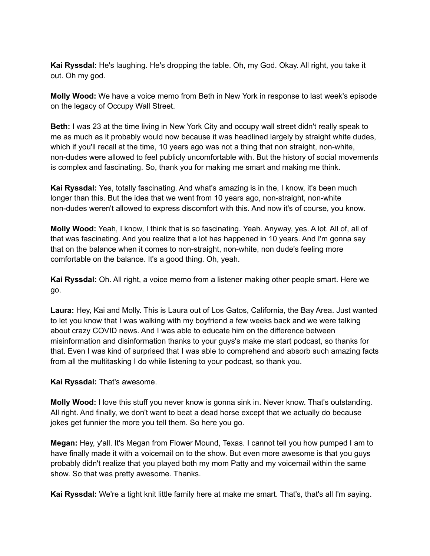**Kai Ryssdal:** He's laughing. He's dropping the table. Oh, my God. Okay. All right, you take it out. Oh my god.

**Molly Wood:** We have a voice memo from Beth in New York in response to last week's episode on the legacy of Occupy Wall Street.

**Beth:** I was 23 at the time living in New York City and occupy wall street didn't really speak to me as much as it probably would now because it was headlined largely by straight white dudes, which if you'll recall at the time, 10 years ago was not a thing that non straight, non-white, non-dudes were allowed to feel publicly uncomfortable with. But the history of social movements is complex and fascinating. So, thank you for making me smart and making me think.

**Kai Ryssdal:** Yes, totally fascinating. And what's amazing is in the, I know, it's been much longer than this. But the idea that we went from 10 years ago, non-straight, non-white non-dudes weren't allowed to express discomfort with this. And now it's of course, you know.

**Molly Wood:** Yeah, I know, I think that is so fascinating. Yeah. Anyway, yes. A lot. All of, all of that was fascinating. And you realize that a lot has happened in 10 years. And I'm gonna say that on the balance when it comes to non-straight, non-white, non dude's feeling more comfortable on the balance. It's a good thing. Oh, yeah.

**Kai Ryssdal:** Oh. All right, a voice memo from a listener making other people smart. Here we go.

**Laura:** Hey, Kai and Molly. This is Laura out of Los Gatos, California, the Bay Area. Just wanted to let you know that I was walking with my boyfriend a few weeks back and we were talking about crazy COVID news. And I was able to educate him on the difference between misinformation and disinformation thanks to your guys's make me start podcast, so thanks for that. Even I was kind of surprised that I was able to comprehend and absorb such amazing facts from all the multitasking I do while listening to your podcast, so thank you.

**Kai Ryssdal:** That's awesome.

**Molly Wood:** I love this stuff you never know is gonna sink in. Never know. That's outstanding. All right. And finally, we don't want to beat a dead horse except that we actually do because jokes get funnier the more you tell them. So here you go.

**Megan:** Hey, y'all. It's Megan from Flower Mound, Texas. I cannot tell you how pumped I am to have finally made it with a voicemail on to the show. But even more awesome is that you guys probably didn't realize that you played both my mom Patty and my voicemail within the same show. So that was pretty awesome. Thanks.

**Kai Ryssdal:** We're a tight knit little family here at make me smart. That's, that's all I'm saying.